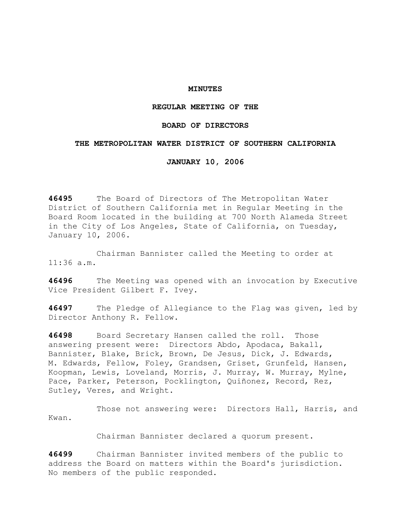## **MINUTES**

## **REGULAR MEETING OF THE**

### **BOARD OF DIRECTORS**

### **THE METROPOLITAN WATER DISTRICT OF SOUTHERN CALIFORNIA**

**JANUARY 10, 2006** 

**46495** The Board of Directors of The Metropolitan Water District of Southern California met in Regular Meeting in the Board Room located in the building at 700 North Alameda Street in the City of Los Angeles, State of California, on Tuesday, January 10, 2006.

 Chairman Bannister called the Meeting to order at 11:36 a.m.

**46496** The Meeting was opened with an invocation by Executive Vice President Gilbert F. Ivey.

**46497** The Pledge of Allegiance to the Flag was given, led by Director Anthony R. Fellow.

**46498** Board Secretary Hansen called the roll. Those answering present were: Directors Abdo, Apodaca, Bakall, Bannister, Blake, Brick, Brown, De Jesus, Dick, J. Edwards, M. Edwards, Fellow, Foley, Grandsen, Griset, Grunfeld, Hansen, Koopman, Lewis, Loveland, Morris, J. Murray, W. Murray, Mylne, Pace, Parker, Peterson, Pocklington, Quiñonez, Record, Rez, Sutley, Veres, and Wright.

Those not answering were: Directors Hall, Harris, and Kwan.

Chairman Bannister declared a quorum present.

**46499** Chairman Bannister invited members of the public to address the Board on matters within the Board's jurisdiction. No members of the public responded.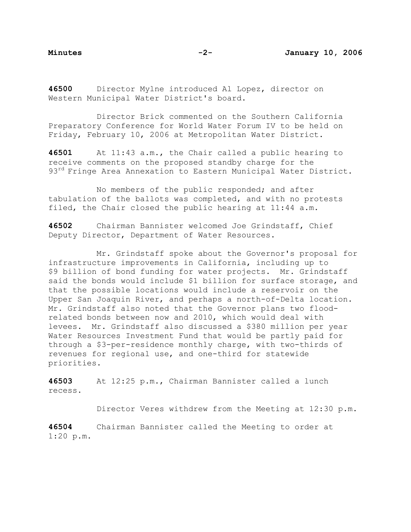**46500** Director Mylne introduced Al Lopez, director on Western Municipal Water District's board.

 Director Brick commented on the Southern California Preparatory Conference for World Water Forum IV to be held on Friday, February 10, 2006 at Metropolitan Water District.

**46501** At 11:43 a.m., the Chair called a public hearing to receive comments on the proposed standby charge for the 93<sup>rd</sup> Fringe Area Annexation to Eastern Municipal Water District.

 No members of the public responded; and after tabulation of the ballots was completed, and with no protests filed, the Chair closed the public hearing at 11:44 a.m.

**46502** Chairman Bannister welcomed Joe Grindstaff, Chief Deputy Director, Department of Water Resources.

 Mr. Grindstaff spoke about the Governor's proposal for infrastructure improvements in California, including up to \$9 billion of bond funding for water projects. Mr. Grindstaff said the bonds would include \$1 billion for surface storage, and that the possible locations would include a reservoir on the Upper San Joaquin River, and perhaps a north-of-Delta location. Mr. Grindstaff also noted that the Governor plans two floodrelated bonds between now and 2010, which would deal with levees. Mr. Grindstaff also discussed a \$380 million per year Water Resources Investment Fund that would be partly paid for through a \$3-per-residence monthly charge, with two-thirds of revenues for regional use, and one-third for statewide priorities.

**46503** At 12:25 p.m., Chairman Bannister called a lunch recess.

Director Veres withdrew from the Meeting at 12:30 p.m.

**46504** Chairman Bannister called the Meeting to order at 1:20 p.m.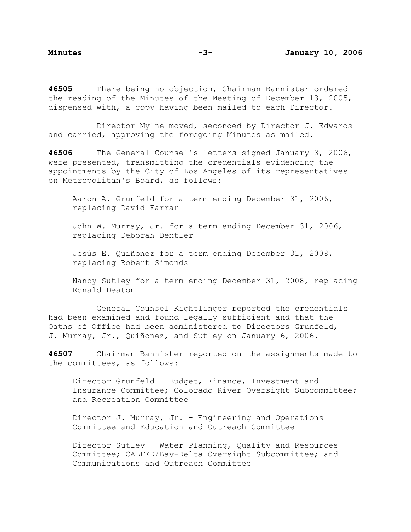**46505** There being no objection, Chairman Bannister ordered the reading of the Minutes of the Meeting of December 13, 2005, dispensed with, a copy having been mailed to each Director.

 Director Mylne moved, seconded by Director J. Edwards and carried, approving the foregoing Minutes as mailed.

**46506** The General Counsel's letters signed January 3, 2006, were presented, transmitting the credentials evidencing the appointments by the City of Los Angeles of its representatives on Metropolitan's Board, as follows:

Aaron A. Grunfeld for a term ending December 31, 2006, replacing David Farrar

John W. Murray, Jr. for a term ending December 31, 2006, replacing Deborah Dentler

Jesús E. Quiñonez for a term ending December 31, 2008, replacing Robert Simonds

Nancy Sutley for a term ending December 31, 2008, replacing Ronald Deaton

 General Counsel Kightlinger reported the credentials had been examined and found legally sufficient and that the Oaths of Office had been administered to Directors Grunfeld, J. Murray, Jr., Quiñonez, and Sutley on January 6, 2006.

**46507** Chairman Bannister reported on the assignments made to the committees, as follows:

Director Grunfeld – Budget, Finance, Investment and Insurance Committee; Colorado River Oversight Subcommittee; and Recreation Committee

Director J. Murray, Jr. – Engineering and Operations Committee and Education and Outreach Committee

Director Sutley – Water Planning, Quality and Resources Committee; CALFED/Bay-Delta Oversight Subcommittee; and Communications and Outreach Committee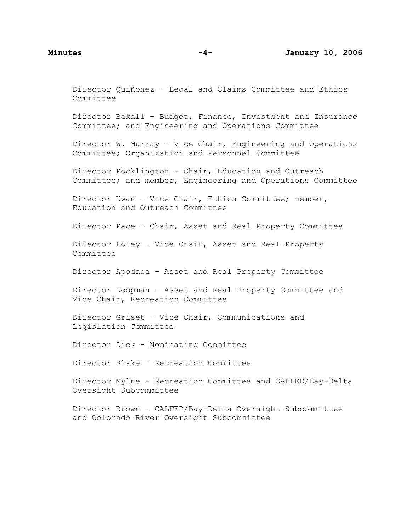Director Quiñonez – Legal and Claims Committee and Ethics Committee

Director Bakall – Budget, Finance, Investment and Insurance Committee; and Engineering and Operations Committee

Director W. Murray – Vice Chair, Engineering and Operations Committee; Organization and Personnel Committee

Director Pocklington - Chair, Education and Outreach Committee; and member, Engineering and Operations Committee

Director Kwan – Vice Chair, Ethics Committee; member, Education and Outreach Committee

Director Pace – Chair, Asset and Real Property Committee

Director Foley – Vice Chair, Asset and Real Property Committee

Director Apodaca - Asset and Real Property Committee

Director Koopman – Asset and Real Property Committee and Vice Chair, Recreation Committee

Director Griset – Vice Chair, Communications and Legislation Committee

Director Dick – Nominating Committee

Director Blake – Recreation Committee

Director Mylne - Recreation Committee and CALFED/Bay-Delta Oversight Subcommittee

Director Brown – CALFED/Bay-Delta Oversight Subcommittee and Colorado River Oversight Subcommittee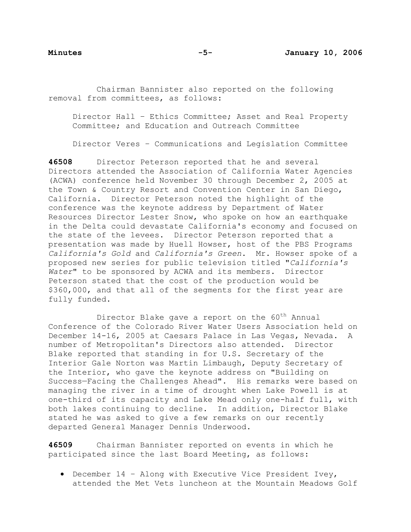Chairman Bannister also reported on the following removal from committees, as follows:

Director Hall – Ethics Committee; Asset and Real Property Committee; and Education and Outreach Committee

Director Veres – Communications and Legislation Committee

**46508** Director Peterson reported that he and several Directors attended the Association of California Water Agencies (ACWA) conference held November 30 through December 2, 2005 at the Town & Country Resort and Convention Center in San Diego, California. Director Peterson noted the highlight of the conference was the keynote address by Department of Water Resources Director Lester Snow, who spoke on how an earthquake in the Delta could devastate California's economy and focused on the state of the levees. Director Peterson reported that a presentation was made by Huell Howser, host of the PBS Programs *California's Gold* and *California's Green*. Mr. Howser spoke of a proposed new series for public television titled "*California's Water*" to be sponsored by ACWA and its members. Director Peterson stated that the cost of the production would be \$360,000, and that all of the segments for the first year are fully funded.

Director Blake gave a report on the 60<sup>th</sup> Annual Conference of the Colorado River Water Users Association held on December 14-16, 2005 at Caesars Palace in Las Vegas, Nevada. A number of Metropolitan's Directors also attended. Director Blake reported that standing in for U.S. Secretary of the Interior Gale Norton was Martin Limbaugh, Deputy Secretary of the Interior, who gave the keynote address on "Building on Success—Facing the Challenges Ahead". His remarks were based on managing the river in a time of drought when Lake Powell is at one-third of its capacity and Lake Mead only one-half full, with both lakes continuing to decline. In addition, Director Blake stated he was asked to give a few remarks on our recently departed General Manager Dennis Underwood.

**46509** Chairman Bannister reported on events in which he participated since the last Board Meeting, as follows:

• December 14 – Along with Executive Vice President Ivey, attended the Met Vets luncheon at the Mountain Meadows Golf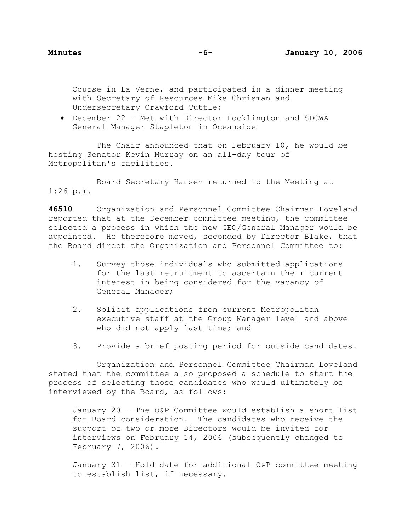Course in La Verne, and participated in a dinner meeting with Secretary of Resources Mike Chrisman and Undersecretary Crawford Tuttle;

• December 22 – Met with Director Pocklington and SDCWA General Manager Stapleton in Oceanside

The Chair announced that on February 10, he would be hosting Senator Kevin Murray on an all-day tour of Metropolitan's facilities.

 Board Secretary Hansen returned to the Meeting at 1:26 p.m.

**46510** Organization and Personnel Committee Chairman Loveland reported that at the December committee meeting, the committee selected a process in which the new CEO/General Manager would be appointed. He therefore moved, seconded by Director Blake, that the Board direct the Organization and Personnel Committee to:

- 1. Survey those individuals who submitted applications for the last recruitment to ascertain their current interest in being considered for the vacancy of General Manager;
- 2. Solicit applications from current Metropolitan executive staff at the Group Manager level and above who did not apply last time; and
- 3. Provide a brief posting period for outside candidates.

 Organization and Personnel Committee Chairman Loveland stated that the committee also proposed a schedule to start the process of selecting those candidates who would ultimately be interviewed by the Board, as follows:

January 20 — The O&P Committee would establish a short list for Board consideration. The candidates who receive the support of two or more Directors would be invited for interviews on February 14, 2006 (subsequently changed to February 7, 2006).

January 31 — Hold date for additional O&P committee meeting to establish list, if necessary.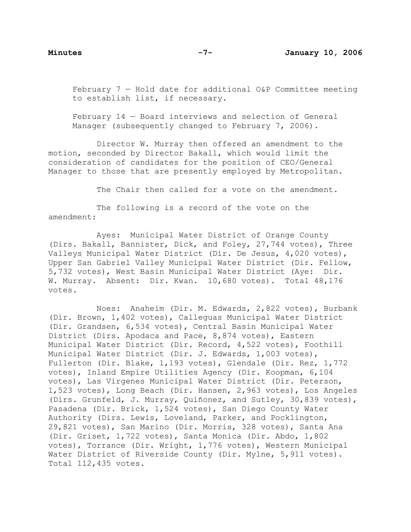February 7 — Hold date for additional O&P Committee meeting to establish list, if necessary.

February 14 — Board interviews and selection of General Manager (subsequently changed to February 7, 2006).

 Director W. Murray then offered an amendment to the motion, seconded by Director Bakall, which would limit the consideration of candidates for the position of CEO/General Manager to those that are presently employed by Metropolitan.

The Chair then called for a vote on the amendment.

 The following is a record of the vote on the amendment:

 Ayes: Municipal Water District of Orange County (Dirs. Bakall, Bannister, Dick, and Foley, 27,744 votes), Three Valleys Municipal Water District (Dir. De Jesus, 4,020 votes), Upper San Gabriel Valley Municipal Water District (Dir. Fellow, 5,732 votes), West Basin Municipal Water District (Aye: Dir. W. Murray. Absent: Dir. Kwan. 10,680 votes). Total 48,176 votes.

 Noes: Anaheim (Dir. M. Edwards, 2,822 votes), Burbank (Dir. Brown, 1,402 votes), Calleguas Municipal Water District (Dir. Grandsen, 6,534 votes), Central Basin Municipal Water District (Dirs. Apodaca and Pace, 8,874 votes), Eastern Municipal Water District (Dir. Record, 4,522 votes), Foothill Municipal Water District (Dir. J. Edwards, 1,003 votes), Fullerton (Dir. Blake, 1,193 votes), Glendale (Dir. Rez, 1,772 votes), Inland Empire Utilities Agency (Dir. Koopman, 6,104 votes), Las Virgenes Municipal Water District (Dir. Peterson, 1,523 votes), Long Beach (Dir. Hansen, 2,963 votes), Los Angeles (Dirs. Grunfeld, J. Murray, Quiñonez, and Sutley, 30,839 votes), Pasadena (Dir. Brick, 1,524 votes), San Diego County Water Authority (Dirs. Lewis, Loveland, Parker, and Pocklington, 29,821 votes), San Marino (Dir. Morris, 328 votes), Santa Ana (Dir. Griset, 1,722 votes), Santa Monica (Dir. Abdo, 1,802 votes), Torrance (Dir. Wright, 1,776 votes), Western Municipal Water District of Riverside County (Dir. Mylne, 5,911 votes). Total 112,435 votes.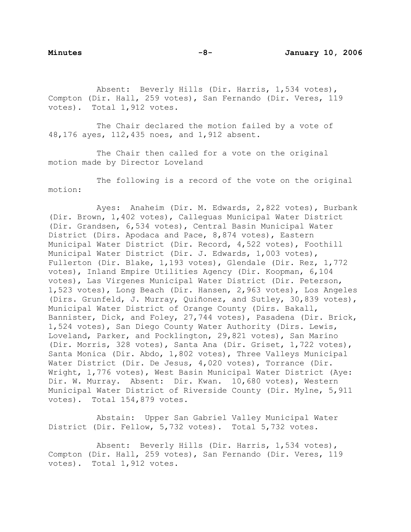Absent: Beverly Hills (Dir. Harris, 1,534 votes), Compton (Dir. Hall, 259 votes), San Fernando (Dir. Veres, 119 votes). Total 1,912 votes.

 The Chair declared the motion failed by a vote of 48,176 ayes, 112,435 noes, and 1,912 absent.

 The Chair then called for a vote on the original motion made by Director Loveland

 The following is a record of the vote on the original motion:

 Ayes: Anaheim (Dir. M. Edwards, 2,822 votes), Burbank (Dir. Brown, 1,402 votes), Calleguas Municipal Water District (Dir. Grandsen, 6,534 votes), Central Basin Municipal Water District (Dirs. Apodaca and Pace, 8,874 votes), Eastern Municipal Water District (Dir. Record, 4,522 votes), Foothill Municipal Water District (Dir. J. Edwards, 1,003 votes), Fullerton (Dir. Blake, 1,193 votes), Glendale (Dir. Rez, 1,772 votes), Inland Empire Utilities Agency (Dir. Koopman, 6,104 votes), Las Virgenes Municipal Water District (Dir. Peterson, 1,523 votes), Long Beach (Dir. Hansen, 2,963 votes), Los Angeles (Dirs. Grunfeld, J. Murray, Quiñonez, and Sutley, 30,839 votes), Municipal Water District of Orange County (Dirs. Bakall, Bannister, Dick, and Foley, 27,744 votes), Pasadena (Dir. Brick, 1,524 votes), San Diego County Water Authority (Dirs. Lewis, Loveland, Parker, and Pocklington, 29,821 votes), San Marino (Dir. Morris, 328 votes), Santa Ana (Dir. Griset, 1,722 votes), Santa Monica (Dir. Abdo, 1,802 votes), Three Valleys Municipal Water District (Dir. De Jesus, 4,020 votes), Torrance (Dir. Wright, 1,776 votes), West Basin Municipal Water District (Aye: Dir. W. Murray. Absent: Dir. Kwan. 10,680 votes), Western Municipal Water District of Riverside County (Dir. Mylne, 5,911 votes). Total 154,879 votes.

 Abstain: Upper San Gabriel Valley Municipal Water District (Dir. Fellow, 5,732 votes). Total 5,732 votes.

 Absent: Beverly Hills (Dir. Harris, 1,534 votes), Compton (Dir. Hall, 259 votes), San Fernando (Dir. Veres, 119 votes). Total 1,912 votes.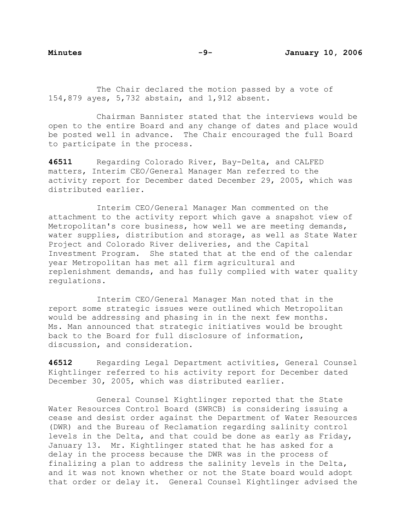The Chair declared the motion passed by a vote of 154,879 ayes, 5,732 abstain, and 1,912 absent.

 Chairman Bannister stated that the interviews would be open to the entire Board and any change of dates and place would be posted well in advance. The Chair encouraged the full Board to participate in the process.

**46511** Regarding Colorado River, Bay-Delta, and CALFED matters, Interim CEO/General Manager Man referred to the activity report for December dated December 29, 2005, which was distributed earlier.

 Interim CEO/General Manager Man commented on the attachment to the activity report which gave a snapshot view of Metropolitan's core business, how well we are meeting demands, water supplies, distribution and storage, as well as State Water Project and Colorado River deliveries, and the Capital Investment Program. She stated that at the end of the calendar year Metropolitan has met all firm agricultural and replenishment demands, and has fully complied with water quality regulations.

 Interim CEO/General Manager Man noted that in the report some strategic issues were outlined which Metropolitan would be addressing and phasing in in the next few months. Ms. Man announced that strategic initiatives would be brought back to the Board for full disclosure of information, discussion, and consideration.

**46512** Regarding Legal Department activities, General Counsel Kightlinger referred to his activity report for December dated December 30, 2005, which was distributed earlier.

 General Counsel Kightlinger reported that the State Water Resources Control Board (SWRCB) is considering issuing a cease and desist order against the Department of Water Resources (DWR) and the Bureau of Reclamation regarding salinity control levels in the Delta, and that could be done as early as Friday, January 13. Mr. Kightlinger stated that he has asked for a delay in the process because the DWR was in the process of finalizing a plan to address the salinity levels in the Delta, and it was not known whether or not the State board would adopt that order or delay it. General Counsel Kightlinger advised the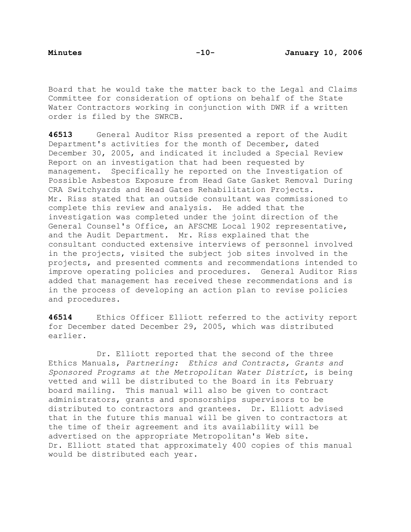Board that he would take the matter back to the Legal and Claims Committee for consideration of options on behalf of the State Water Contractors working in conjunction with DWR if a written order is filed by the SWRCB.

**46513** General Auditor Riss presented a report of the Audit Department's activities for the month of December, dated December 30, 2005, and indicated it included a Special Review Report on an investigation that had been requested by management. Specifically he reported on the Investigation of Possible Asbestos Exposure from Head Gate Gasket Removal During CRA Switchyards and Head Gates Rehabilitation Projects. Mr. Riss stated that an outside consultant was commissioned to complete this review and analysis. He added that the investigation was completed under the joint direction of the General Counsel's Office, an AFSCME Local 1902 representative, and the Audit Department. Mr. Riss explained that the consultant conducted extensive interviews of personnel involved in the projects, visited the subject job sites involved in the projects, and presented comments and recommendations intended to improve operating policies and procedures. General Auditor Riss added that management has received these recommendations and is in the process of developing an action plan to revise policies and procedures.

**46514** Ethics Officer Elliott referred to the activity report for December dated December 29, 2005, which was distributed earlier.

 Dr. Elliott reported that the second of the three Ethics Manuals, *Partnering: Ethics and Contracts, Grants and Sponsored Programs at the Metropolitan Water District*, is being vetted and will be distributed to the Board in its February board mailing. This manual will also be given to contract administrators, grants and sponsorships supervisors to be distributed to contractors and grantees. Dr. Elliott advised that in the future this manual will be given to contractors at the time of their agreement and its availability will be advertised on the appropriate Metropolitan's Web site. Dr. Elliott stated that approximately 400 copies of this manual would be distributed each year.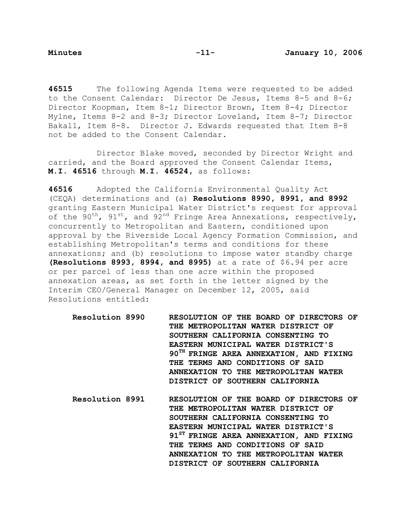**46515** The following Agenda Items were requested to be added to the Consent Calendar: Director De Jesus, Items 8-5 and 8-6; Director Koopman, Item 8-1; Director Brown, Item 8-4; Director Mylne, Items 8-2 and 8-3; Director Loveland, Item 8-7; Director Bakall, Item 8-8. Director J. Edwards requested that Item 8-8 not be added to the Consent Calendar.

 Director Blake moved, seconded by Director Wright and carried, and the Board approved the Consent Calendar Items, **M.I. 46516** through **M.I. 46524,** as follows:

**46516** Adopted the California Environmental Quality Act (CEQA) determinations and (a) **Resolutions 8990, 8991, and 8992** granting Eastern Municipal Water District's request for approval of the 90<sup>th</sup>, 91<sup>st</sup>, and 92<sup>nd</sup> Fringe Area Annexations, respectively, concurrently to Metropolitan and Eastern, conditioned upon approval by the Riverside Local Agency Formation Commission, and establishing Metropolitan's terms and conditions for these annexations; and (b) resolutions to impose water standby charge **(Resolutions 8993, 8994, and 8995)** at a rate of \$6.94 per acre or per parcel of less than one acre within the proposed annexation areas, as set forth in the letter signed by the Interim CEO/General Manager on December 12, 2005, said Resolutions entitled:

**Resolution 8990 RESOLUTION OF THE BOARD OF DIRECTORS OF THE METROPOLITAN WATER DISTRICT OF SOUTHERN CALIFORNIA CONSENTING TO EASTERN MUNICIPAL WATER DISTRICT'S 90TH FRINGE AREA ANNEXATION, AND FIXING THE TERMS AND CONDITIONS OF SAID ANNEXATION TO THE METROPOLITAN WATER DISTRICT OF SOUTHERN CALIFORNIA** 

**Resolution 8991 RESOLUTION OF THE BOARD OF DIRECTORS OF THE METROPOLITAN WATER DISTRICT OF SOUTHERN CALIFORNIA CONSENTING TO EASTERN MUNICIPAL WATER DISTRICT'S 91ST FRINGE AREA ANNEXATION, AND FIXING THE TERMS AND CONDITIONS OF SAID ANNEXATION TO THE METROPOLITAN WATER DISTRICT OF SOUTHERN CALIFORNIA**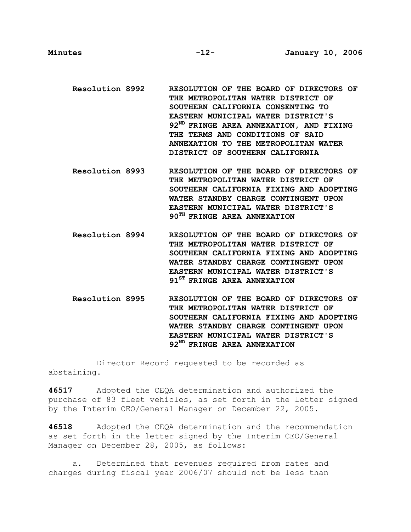- **Resolution 8992 RESOLUTION OF THE BOARD OF DIRECTORS OF THE METROPOLITAN WATER DISTRICT OF SOUTHERN CALIFORNIA CONSENTING TO EASTERN MUNICIPAL WATER DISTRICT'S 92ND FRINGE AREA ANNEXATION, AND FIXING THE TERMS AND CONDITIONS OF SAID ANNEXATION TO THE METROPOLITAN WATER DISTRICT OF SOUTHERN CALIFORNIA**
- **Resolution 8993 RESOLUTION OF THE BOARD OF DIRECTORS OF THE METROPOLITAN WATER DISTRICT OF SOUTHERN CALIFORNIA FIXING AND ADOPTING WATER STANDBY CHARGE CONTINGENT UPON EASTERN MUNICIPAL WATER DISTRICT'S 90TH FRINGE AREA ANNEXATION**
- **Resolution 8994 RESOLUTION OF THE BOARD OF DIRECTORS OF THE METROPOLITAN WATER DISTRICT OF SOUTHERN CALIFORNIA FIXING AND ADOPTING WATER STANDBY CHARGE CONTINGENT UPON EASTERN MUNICIPAL WATER DISTRICT'S 91ST FRINGE AREA ANNEXATION**
- **Resolution 8995 RESOLUTION OF THE BOARD OF DIRECTORS OF THE METROPOLITAN WATER DISTRICT OF SOUTHERN CALIFORNIA FIXING AND ADOPTING WATER STANDBY CHARGE CONTINGENT UPON EASTERN MUNICIPAL WATER DISTRICT'S 92ND FRINGE AREA ANNEXATION**

 Director Record requested to be recorded as abstaining.

**46517** Adopted the CEQA determination and authorized the purchase of 83 fleet vehicles, as set forth in the letter signed by the Interim CEO/General Manager on December 22, 2005.

**46518** Adopted the CEQA determination and the recommendation as set forth in the letter signed by the Interim CEO/General Manager on December 28, 2005, as follows:

a. Determined that revenues required from rates and charges during fiscal year 2006/07 should not be less than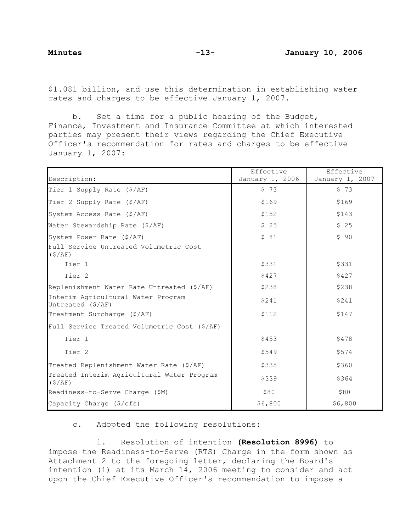\$1.081 billion, and use this determination in establishing water rates and charges to be effective January 1, 2007.

b. Set a time for a public hearing of the Budget, Finance, Investment and Insurance Committee at which interested parties may present their views regarding the Chief Executive Officer's recommendation for rates and charges to be effective January 1, 2007:

|                                                         | Effective       | Effective       |
|---------------------------------------------------------|-----------------|-----------------|
| Description:                                            | January 1, 2006 | January 1, 2007 |
| Tier 1 Supply Rate (\$/AF)                              | \$73            | \$73            |
| Tier 2 Supply Rate (\$/AF)                              | \$169           | \$169           |
| System Access Rate (\$/AF)                              | \$152           | \$143           |
| Water Stewardship Rate (\$/AF)                          | \$25            | \$25            |
| System Power Rate (\$/AF)                               | \$81            | \$90            |
| Full Service Untreated Volumetric Cost<br>(S/AF)        |                 |                 |
| Tier 1                                                  | \$331           | \$331           |
| Tier <sub>2</sub>                                       | \$427           | \$427           |
| Replenishment Water Rate Untreated (\$/AF)              | \$238           | \$238           |
| Interim Agricultural Water Program<br>Untreated (\$/AF) | \$241           | \$241           |
| Treatment Surcharge (\$/AF)                             | \$112           | \$147           |
| Full Service Treated Volumetric Cost (\$/AF)            |                 |                 |
| Tier 1                                                  | \$453           | \$478           |
| Tier <sub>2</sub>                                       | \$549           | \$574           |
| Treated Replenishment Water Rate (\$/AF)                | \$335           | \$360           |
| Treated Interim Agricultural Water Program<br>(S/AF)    | \$339           | \$364           |
| Readiness-to-Serve Charge (\$M)                         | \$80            | \$80            |
| Capacity Charge (\$/cfs)                                | \$6,800         | \$6,800         |

c. Adopted the following resolutions:

 1. Resolution of intention **(Resolution 8996)** to impose the Readiness-to-Serve (RTS) Charge in the form shown as Attachment 2 to the foregoing letter, declaring the Board's intention (i) at its March 14, 2006 meeting to consider and act upon the Chief Executive Officer's recommendation to impose a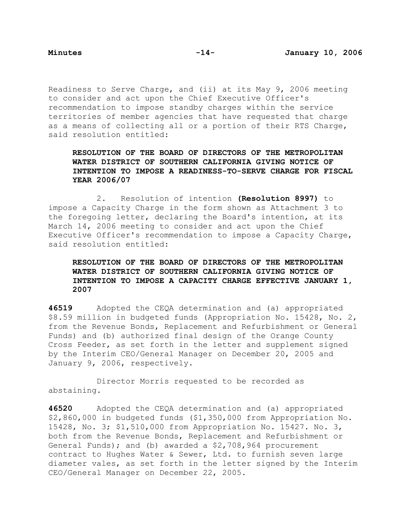Readiness to Serve Charge, and (ii) at its May 9, 2006 meeting to consider and act upon the Chief Executive Officer's recommendation to impose standby charges within the service territories of member agencies that have requested that charge as a means of collecting all or a portion of their RTS Charge, said resolution entitled:

# **RESOLUTION OF THE BOARD OF DIRECTORS OF THE METROPOLITAN WATER DISTRICT OF SOUTHERN CALIFORNIA GIVING NOTICE OF INTENTION TO IMPOSE A READINESS-TO-SERVE CHARGE FOR FISCAL YEAR 2006/07**

2. Resolution of intention **(Resolution 8997)** to impose a Capacity Charge in the form shown as Attachment 3 to the foregoing letter, declaring the Board's intention, at its March 14, 2006 meeting to consider and act upon the Chief Executive Officer's recommendation to impose a Capacity Charge, said resolution entitled:

# **RESOLUTION OF THE BOARD OF DIRECTORS OF THE METROPOLITAN WATER DISTRICT OF SOUTHERN CALIFORNIA GIVING NOTICE OF INTENTION TO IMPOSE A CAPACITY CHARGE EFFECTIVE JANUARY 1, 2007**

**46519** Adopted the CEQA determination and (a) appropriated \$8.59 million in budgeted funds (Appropriation No. 15428, No. 2, from the Revenue Bonds, Replacement and Refurbishment or General Funds) and (b) authorized final design of the Orange County Cross Feeder, as set forth in the letter and supplement signed by the Interim CEO/General Manager on December 20, 2005 and January 9, 2006, respectively.

 Director Morris requested to be recorded as abstaining.

**46520** Adopted the CEQA determination and (a) appropriated \$2,860,000 in budgeted funds (\$1,350,000 from Appropriation No. 15428, No. 3; \$1,510,000 from Appropriation No. 15427. No. 3, both from the Revenue Bonds, Replacement and Refurbishment or General Funds); and (b) awarded a \$2,708,964 procurement contract to Hughes Water & Sewer, Ltd. to furnish seven large diameter vales, as set forth in the letter signed by the Interim CEO/General Manager on December 22, 2005.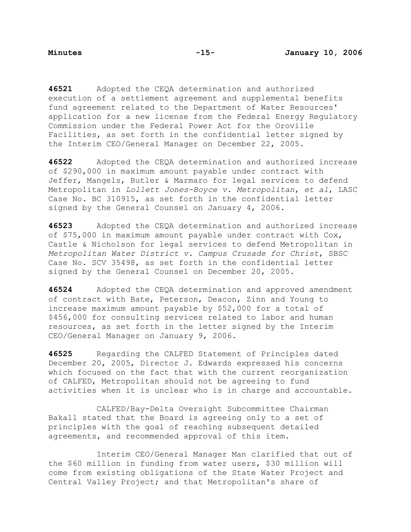**46521** Adopted the CEQA determination and authorized execution of a settlement agreement and supplemental benefits fund agreement related to the Department of Water Resources' application for a new license from the Federal Energy Regulatory Commission under the Federal Power Act for the Oroville Facilities, as set forth in the confidential letter signed by the Interim CEO/General Manager on December 22, 2005.

**46522** Adopted the CEQA determination and authorized increase of \$290,000 in maximum amount payable under contract with Jeffer, Mangels, Butler & Marmaro for legal services to defend Metropolitan in *Lollett Jones-Boyce v. Metropolitan*, *et al*, LASC Case No. BC 310915, as set forth in the confidential letter signed by the General Counsel on January 4, 2006.

**46523** Adopted the CEQA determination and authorized increase of \$75,000 in maximum amount payable under contract with Cox, Castle & Nicholson for legal services to defend Metropolitan in *Metropolitan Water District v. Campus Crusade for Christ*, SBSC Case No. SCV 35498, as set forth in the confidential letter signed by the General Counsel on December 20, 2005.

**46524** Adopted the CEQA determination and approved amendment of contract with Bate, Peterson, Deacon, Zinn and Young to increase maximum amount payable by \$52,000 for a total of \$456,000 for consulting services related to labor and human resources, as set forth in the letter signed by the Interim CEO/General Manager on January 9, 2006.

**46525** Regarding the CALFED Statement of Principles dated December 20, 2005, Director J. Edwards expressed his concerns which focused on the fact that with the current reorganization of CALFED, Metropolitan should not be agreeing to fund activities when it is unclear who is in charge and accountable.

 CALFED/Bay-Delta Oversight Subcommittee Chairman Bakall stated that the Board is agreeing only to a set of principles with the goal of reaching subsequent detailed agreements, and recommended approval of this item.

 Interim CEO/General Manager Man clarified that out of the \$60 million in funding from water users, \$30 million will come from existing obligations of the State Water Project and Central Valley Project; and that Metropolitan's share of